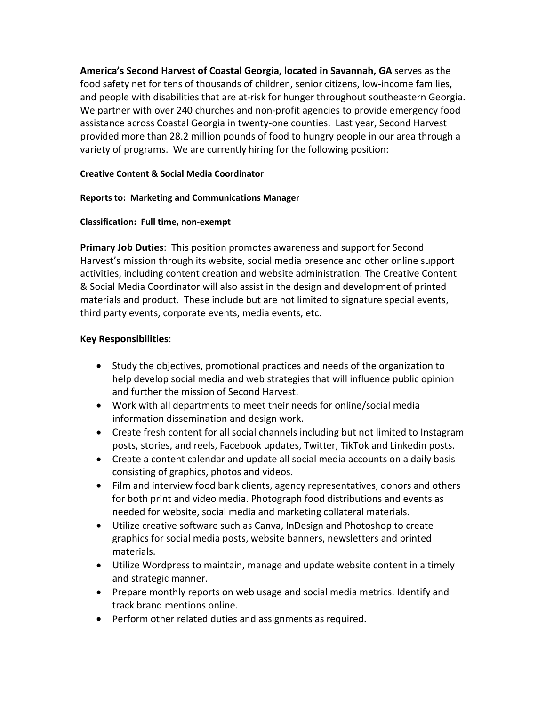**America's Second Harvest of Coastal Georgia, located in Savannah, GA** serves as the food safety net for tens of thousands of children, senior citizens, low-income families, and people with disabilities that are at-risk for hunger throughout southeastern Georgia. We partner with over 240 churches and non-profit agencies to provide emergency food assistance across Coastal Georgia in twenty-one counties. Last year, Second Harvest provided more than 28.2 million pounds of food to hungry people in our area through a variety of programs. We are currently hiring for the following position:

### **Creative Content & Social Media Coordinator**

#### **Reports to: Marketing and Communications Manager**

#### **Classification: Full time, non-exempt**

**Primary Job Duties**: This position promotes awareness and support for Second Harvest's mission through its website, social media presence and other online support activities, including content creation and website administration. The Creative Content & Social Media Coordinator will also assist in the design and development of printed materials and product. These include but are not limited to signature special events, third party events, corporate events, media events, etc.

# **Key Responsibilities**:

- Study the objectives, promotional practices and needs of the organization to help develop social media and web strategies that will influence public opinion and further the mission of Second Harvest.
- Work with all departments to meet their needs for online/social media information dissemination and design work.
- Create fresh content for all social channels including but not limited to Instagram posts, stories, and reels, Facebook updates, Twitter, TikTok and Linkedin posts.
- Create a content calendar and update all social media accounts on a daily basis consisting of graphics, photos and videos.
- Film and interview food bank clients, agency representatives, donors and others for both print and video media. Photograph food distributions and events as needed for website, social media and marketing collateral materials.
- Utilize creative software such as Canva, InDesign and Photoshop to create graphics for social media posts, website banners, newsletters and printed materials.
- Utilize Wordpress to maintain, manage and update website content in a timely and strategic manner.
- Prepare monthly reports on web usage and social media metrics. Identify and track brand mentions online.
- Perform other related duties and assignments as required.